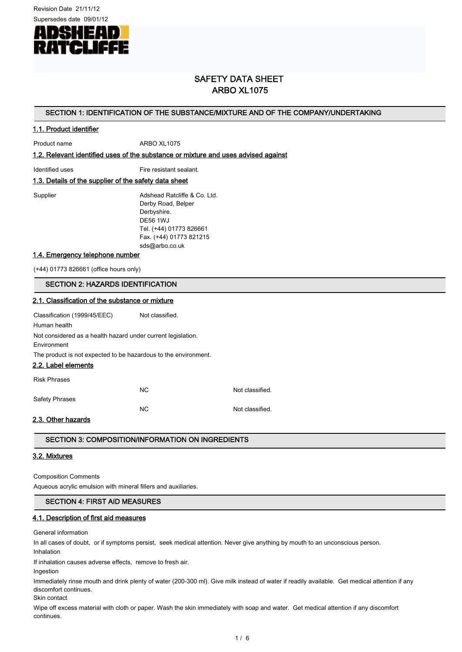Revision Date 21/11/12



# SAFETY DATA SHEET ARBO XL1075

## SECTION 1: IDENTIFICATION OF THE SUBSTANCE/MIXTURE AND OF THE COMPANY/UNDERTAKING

## 1.1. Product identifier

Product name ARBO XL1075

1.2. Relevant identified uses of the substance or mixture and uses advised against

Identified uses Fire resistant sealant.

## 1.3. Details of the supplier of the safety data sheet

Supplier **Adshead Ratcliffe & Co. Ltd.** Derby Road, Belper Derbyshire. DE56 1WJ Tel. (+44) 01773 826661 Fax. (+44) 01773 821215 sds@arbo.co.uk

#### 1.4. Emergency telephone number

(+44) 01773 826661 (office hours only)

#### SECTION 2: HAZARDS IDENTIFICATION

# 2.1. Classification of the substance or mixture Classification (1999/45/EEC) Not classified. Human health Not considered as a health hazard under current legislation. Environment The product is not expected to be hazardous to the environment. 2.2. Label elements Risk Phrases NC Not classified. Safety Phrases NC Not classified.

#### 2.3. Other hazards

## SECTION 3: COMPOSITION/INFORMATION ON INGREDIENTS

## 3.2. Mixtures

Composition Comments

Aqueous acrylic emulsion with mineral fillers and auxiliaries.

#### SECTION 4: FIRST AID MEASURES

#### 4.1. Description of first aid measures

General information

In all cases of doubt, or if symptoms persist, seek medical attention. Never give anything by mouth to an unconscious person.

Inhalation

If inhalation causes adverse effects, remove to fresh air.

Ingestion

Immediately rinse mouth and drink plenty of water (200-300 ml). Give milk instead of water if readily available. Get medical attention if any discomfort continues.

Skin contact

Wipe off excess material with cloth or paper. Wash the skin immediately with soap and water. Get medical attention if any discomfort continues.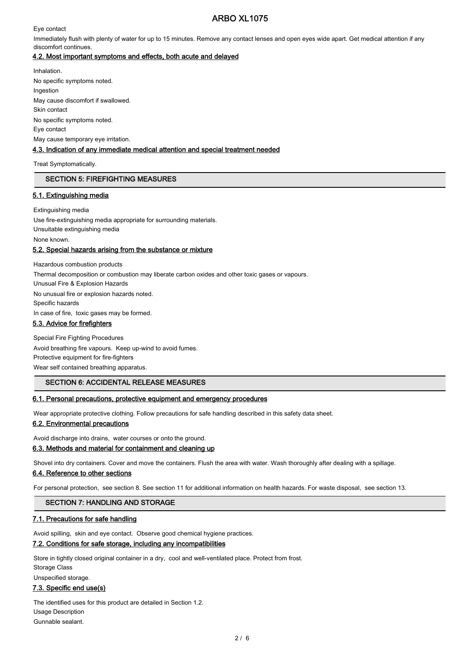# ARBO XL1075

Eye contact

Immediately flush with plenty of water for up to 15 minutes. Remove any contact lenses and open eyes wide apart. Get medical attention if any discomfort continues.

## 4.2. Most important symptoms and effects, both acute and delayed

Inhalation. No specific symptoms noted. Ingestion May cause discomfort if swallowed. Skin contact No specific symptoms noted. Eye contact May cause temporary eye irritation. 4.3. Indication of any immediate medical attention and special treatment needed

Treat Symptomatically.

## SECTION 5: FIREFIGHTING MEASURES

## 5.1. Extinguishing media

Extinguishing media Use fire-extinguishing media appropriate for surrounding materials. Unsuitable extinguishing media None known.

## 5.2. Special hazards arising from the substance or mixture

Hazardous combustion products Thermal decomposition or combustion may liberate carbon oxides and other toxic gases or vapours. Unusual Fire & Explosion Hazards No unusual fire or explosion hazards noted. Specific hazards In case of fire, toxic gases may be formed.

# 5.3. Advice for firefighters

Special Fire Fighting Procedures Avoid breathing fire vapours. Keep up-wind to avoid fumes. Protective equipment for fire-fighters Wear self contained breathing apparatus.

## SECTION 6: ACCIDENTAL RELEASE MEASURES

#### 6.1. Personal precautions, protective equipment and emergency procedures

Wear appropriate protective clothing. Follow precautions for safe handling described in this safety data sheet.

## 6.2. Environmental precautions

Avoid discharge into drains, water courses or onto the ground.

#### 6.3. Methods and material for containment and cleaning up

Shovel into dry containers. Cover and move the containers. Flush the area with water. Wash thoroughly after dealing with a spillage.

#### 6.4. Reference to other sections

For personal protection, see section 8. See section 11 for additional information on health hazards. For waste disposal, see section 13.

#### SECTION 7: HANDLING AND STORAGE

#### 7.1. Precautions for safe handling

Avoid spilling, skin and eye contact. Observe good chemical hygiene practices.

#### 7.2. Conditions for safe storage, including any incompatibilities

Store in tightly closed original container in a dry, cool and well-ventilated place. Protect from frost. Storage Class

Unspecified storage.

## 7.3. Specific end use(s)

The identified uses for this product are detailed in Section 1.2. Usage Description Gunnable sealant.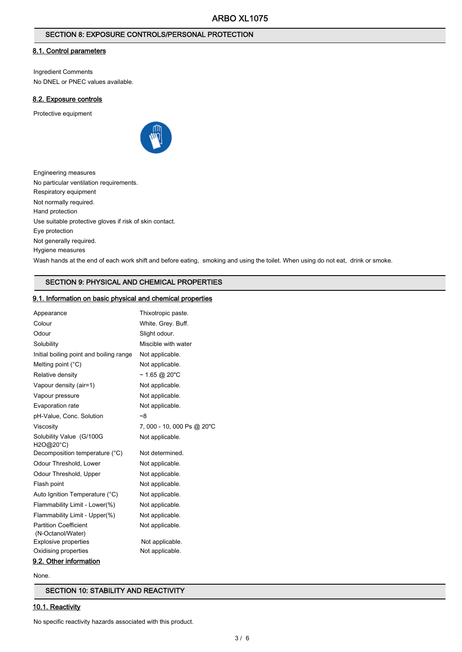## SECTION 8: EXPOSURE CONTROLS/PERSONAL PROTECTION

## 8.1. Control parameters

Ingredient Comments No DNEL or PNEC values available.

## 8.2. Exposure controls

Protective equipment



| Engineering measures                                                                                                             |
|----------------------------------------------------------------------------------------------------------------------------------|
| No particular ventilation requirements.                                                                                          |
| Respiratory equipment                                                                                                            |
| Not normally required.                                                                                                           |
| Hand protection                                                                                                                  |
| Use suitable protective gloves if risk of skin contact.                                                                          |
| Eye protection                                                                                                                   |
| Not generally required.                                                                                                          |
| Hygiene measures                                                                                                                 |
| Wash hands at the end of each work shift and before eating, smoking and using the toilet. When using do not eat, drink or smoke. |
|                                                                                                                                  |

# SECTION 9: PHYSICAL AND CHEMICAL PROPERTIES

# 9.1. Information on basic physical and chemical properties

| Appearance                                        | Thixotropic paste.         |
|---------------------------------------------------|----------------------------|
| Colour                                            | White. Grey. Buff.         |
| Odour                                             | Slight odour.              |
| Solubility                                        | Miscible with water        |
| Initial boiling point and boiling range           | Not applicable.            |
| Melting point $(^{\circ}C)$                       | Not applicable.            |
| Relative density                                  | $~1.65$ @ 20"C             |
| Vapour density (air=1)                            | Not applicable.            |
| Vapour pressure                                   | Not applicable.            |
| Evaporation rate                                  | Not applicable.            |
| pH-Value, Conc. Solution                          | ~8                         |
| Viscosity                                         | 7, 000 - 10, 000 Ps @ 20"C |
| Solubility Value (G/100G<br>H2O@20°C)             | Not applicable.            |
| Decomposition temperature (°C)                    | Not determined.            |
| Odour Threshold, Lower                            | Not applicable.            |
| Odour Threshold, Upper                            | Not applicable.            |
| Flash point                                       | Not applicable.            |
| Auto Ignition Temperature (°C)                    | Not applicable.            |
| Flammability Limit - Lower(%)                     | Not applicable.            |
| Flammability Limit - Upper(%)                     | Not applicable.            |
| <b>Partition Coefficient</b><br>(N-Octanol/Water) | Not applicable.            |
| Explosive properties                              | Not applicable.            |
| Oxidising properties                              | Not applicable.            |
| 9.2. Other information                            |                            |

None.

SECTION 10: STABILITY AND REACTIVITY

# 10.1. Reactivity

No specific reactivity hazards associated with this product.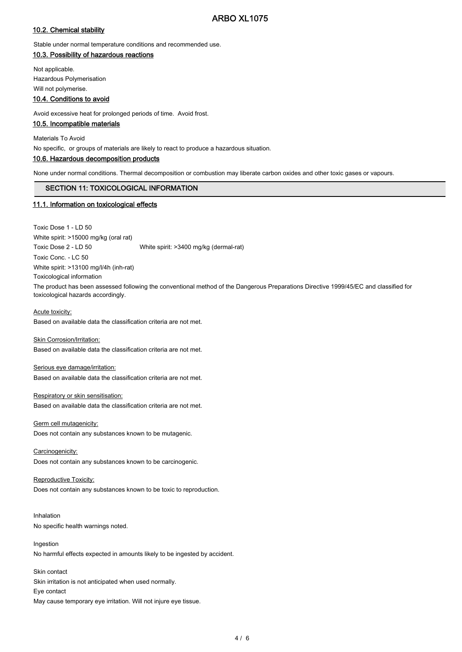# ARBO XL1075

## 10.2. Chemical stability

Stable under normal temperature conditions and recommended use.

## 10.3. Possibility of hazardous reactions

Not applicable. Hazardous Polymerisation Will not polymerise.

## 10.4. Conditions to avoid

Avoid excessive heat for prolonged periods of time. Avoid frost.

#### 10.5. Incompatible materials

Materials To Avoid

No specific, or groups of materials are likely to react to produce a hazardous situation.

# 10.6. Hazardous decomposition products

None under normal conditions. Thermal decomposition or combustion may liberate carbon oxides and other toxic gases or vapours.

## SECTION 11: TOXICOLOGICAL INFORMATION

## 11.1. Information on toxicological effects

Toxic Dose 1 - LD 50

White spirit: >15000 mg/kg (oral rat) Toxic Dose 2 - LD 50 White spirit: >3400 mg/kg (dermal-rat) Toxic Conc. - LC 50 White spirit: >13100 mg/l/4h (inh-rat) Toxicological information The product has been assessed following the conventional method of the Dangerous Preparations Directive 1999/45/EC and classified for toxicological hazards accordingly.

#### Acute toxicity:

Based on available data the classification criteria are not met.

Skin Corrosion/Irritation: Based on available data the classification criteria are not met.

Serious eye damage/irritation: Based on available data the classification criteria are not met.

#### Respiratory or skin sensitisation: Based on available data the classification criteria are not met.

Germ cell mutagenicity: Does not contain any substances known to be mutagenic.

Carcinogenicity: Does not contain any substances known to be carcinogenic.

Reproductive Toxicity: Does not contain any substances known to be toxic to reproduction.

Inhalation No specific health warnings noted.

Ingestion No harmful effects expected in amounts likely to be ingested by accident.

Skin contact Skin irritation is not anticipated when used normally. Eye contact May cause temporary eye irritation. Will not injure eye tissue.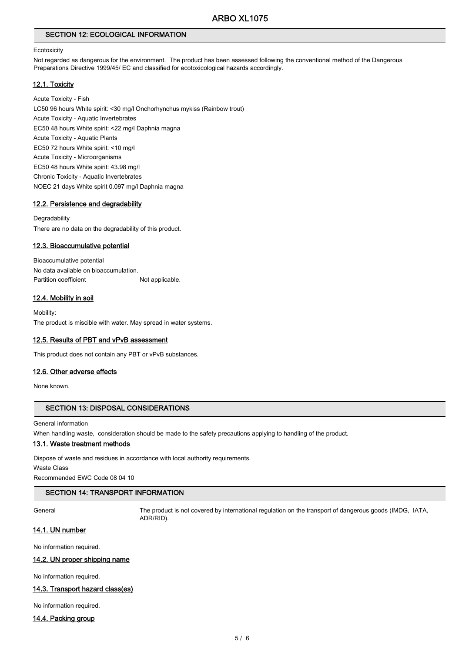# SECTION 12: ECOLOGICAL INFORMATION

#### **Ecotoxicity**

Not regarded as dangerous for the environment. The product has been assessed following the conventional method of the Dangerous Preparations Directive 1999/45/ EC and classified for ecotoxicological hazards accordingly.

#### 12.1. Toxicity

Acute Toxicity - Fish LC50 96 hours White spirit: <30 mg/l Onchorhynchus mykiss (Rainbow trout) Acute Toxicity - Aquatic Invertebrates EC50 48 hours White spirit: <22 mg/l Daphnia magna Acute Toxicity - Aquatic Plants EC50 72 hours White spirit: <10 mg/l Acute Toxicity - Microorganisms EC50 48 hours White spirit: 43.98 mg/l Chronic Toxicity - Aquatic Invertebrates NOEC 21 days White spirit 0.097 mg/l Daphnia magna

#### 12.2. Persistence and degradability

#### **Degradability**

There are no data on the degradability of this product.

#### 12.3. Bioaccumulative potential

Bioaccumulative potential No data available on bioaccumulation. Partition coefficient Not applicable.

#### 12.4. Mobility in soil

Mobility: The product is miscible with water. May spread in water systems.

#### 12.5. Results of PBT and vPvB assessment

This product does not contain any PBT or vPvB substances.

## 12.6. Other adverse effects

None known.

## SECTION 13: DISPOSAL CONSIDERATIONS

General information

When handling waste, consideration should be made to the safety precautions applying to handling of the product.

# 13.1. Waste treatment methods

Dispose of waste and residues in accordance with local authority requirements. Waste Class

Recommended EWC Code 08 04 10

#### SECTION 14: TRANSPORT INFORMATION

General The product is not covered by international regulation on the transport of dangerous goods (IMDG, IATA, ADR/RID).

## 14.1. UN number

No information required.

#### 14.2. UN proper shipping name

No information required.

## 14.3. Transport hazard class(es)

No information required.

#### 14.4. Packing group